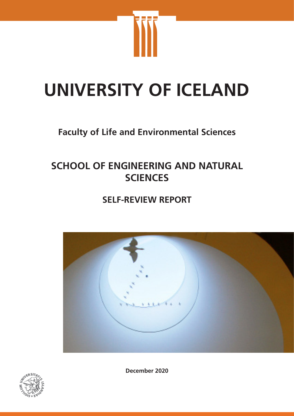

# **UNIVERSITY OF ICELAND**

# **Faculty of Life and Environmental Sciences**

# **SCHOOL OF ENGINEERING AND NATURAL SCIENCES**

# **SELF-REVIEW REPORT**





**December 2020**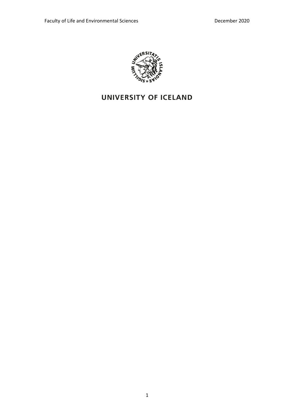

## UNIVERSITY OF ICELAND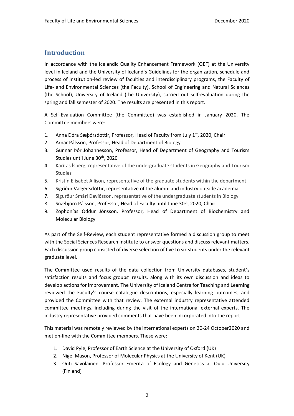### **Introduction**

In accordance with the Icelandic Quality Enhancement Framework (QEF) at the University level in Iceland and the University of Iceland's Guidelines for the organization, schedule and process of institution-led review of faculties and interdisciplinary programs, the Faculty of Life- and Environmental Sciences (the Faculty), School of Engineering and Natural Sciences (the School), University of Iceland (the University), carried out self-evaluation during the spring and fall semester of 2020. The results are presented in this report.

A Self-Evaluation Committee (the Committee) was established in January 2020. The Committee members were:

- 1. Anna Dóra Sæþórsdóttir, Professor, Head of Faculty from July 1<sup>st</sup>, 2020, Chair
- 2. Arnar Pálsson, Professor, Head of Department of Biology
- 3. Gunnar Þór Jóhannesson, Professor, Head of Department of Geography and Tourism Studies until June 30<sup>th</sup>, 2020
- 4. Karítas Ísberg, representative of the undergraduate students in Geography and Tourism Studies
- 5. Kristín Elísabet Allison, representative of the graduate students within the department
- 6. Sigríður Valgeirsdóttir, representative of the alumni and industry outside academia
- 7. Sigurður Smári Davíðsson, representative of the undergraduate students in Biology
- 8. Snæbjörn Pálsson, Professor, Head of Faculty until June 30<sup>th</sup>, 2020, Chair
- 9. Zophonías Oddur Jónsson, Professor, Head of Department of Biochemistry and Molecular Biology

As part of the Self-Review, each student representative formed a discussion group to meet with the Social Sciences Research Institute to answer questions and discuss relevant matters. Each discussion group consisted of diverse selection of five to six students under the relevant graduate level.

The Committee used results of the data collection from University databases, student's satisfaction results and focus groups' results, along with its own discussion and ideas to develop actions for improvement. The University of Iceland Centre for Teaching and Learning reviewed the Faculty's course catalogue descriptions, especially learning outcomes, and provided the Committee with that review. The external industry representative attended committee meetings, including during the visit of the international external experts. The industry representative provided comments that have been incorporated into the report.

This material was remotely reviewed by the international experts on 20-24 October2020 and met on-line with the Committee members. These were:

- 1. David Pyle, Professor of Earth Science at the University of Oxford (UK)
- 2. Nigel Mason, Professor of Molecular Physics at the University of Kent (UK)
- 3. Outi Savolainen, Professor Emerita of Ecology and Genetics at Oulu University (Finland)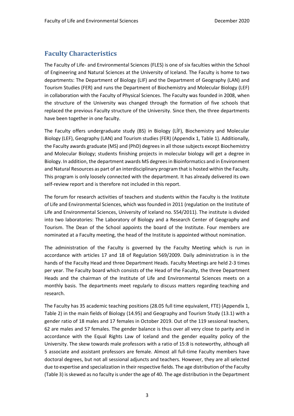### **Faculty Characteristics**

The Faculty of Life- and Environmental Sciences (FLES) is one of six faculties within the School of Engineering and Natural Sciences at the University of Iceland. The Faculty is home to two departments: The Department of Biology (LIF) and the Department of Geography (LAN) and Tourism Studies (FER) and runs the Department of Biochemistry and Molecular Biology (LEF) in collaboration with the Faculty of Physical Sciences. The Faculty was founded in 2008, when the structure of the University was changed through the formation of five schools that replaced the previous Faculty structure of the University. Since then, the three departments have been together in one faculty.

The Faculty offers undergraduate study (BS) in Biology (LÍF), Biochemistry and Molecular Biology (LEF), Geography (LAN) and Tourism studies (FER) (Appendix 1, Table 1). Additionally, the Faculty awards graduate (MS) and (PhD) degrees in all those subjects except Biochemistry and Molecular Biology; students finishing projects in molecular biology will get a degree in Biology. In addition, the department awards MS degrees in Bioinformatics and in Environment and Natural Resources as part of an interdisciplinary program that is hosted within the Faculty. This program is only loosely connected with the department. It has already delivered its own self-review report and is therefore not included in this report.

The forum for research activities of teachers and students within the Faculty is the Institute of Life and Environmental Sciences, which was founded in 2011 (regulation on the Institute of Life and Environmental Sciences, University of Iceland no. 554/2011). The institute is divided into two laboratories: The Laboratory of Biology and a Research Center of Geography and Tourism. The Dean of the School appoints the board of the Institute. Four members are nominated at a Faculty meeting, the head of the Institute is appointed without nomination.

The administration of the Faculty is governed by the Faculty Meeting which is run in accordance with articles 17 and 18 of Regulation 569/2009. Daily administration is in the hands of the Faculty Head and three Department Heads. Faculty Meetings are held 2-3 times per year. The Faculty board which consists of the Head of the Faculty, the three Department Heads and the chairman of the Institute of Life and Environmental Sciences meets on a monthly basis. The departments meet regularly to discuss matters regarding teaching and research.

The Faculty has 35 academic teaching positions (28.05 full time equivalent, FTE) (Appendix 1, Table 2) in the main fields of Biology (14.95) and Geography and Tourism Study (13.1) with a gender ratio of 18 males and 17 females in October 2019. Out of the 119 sessional teachers, 62 are males and 57 females. The gender balance is thus over all very close to parity and in accordance with the Equal Rights Law of Iceland and the gender equality policy of the University. The skew towards male professors with a ratio of 15:8 is noteworthy, although all 5 associate and assistant professors are female. Almost all full-time Faculty members have doctoral degrees, but not all sessional adjuncts and teachers. However, they are all selected due to expertise and specialization in their respective fields. The age distribution of the Faculty (Table 3) is skewed as no faculty is under the age of 40. The age distribution in the Department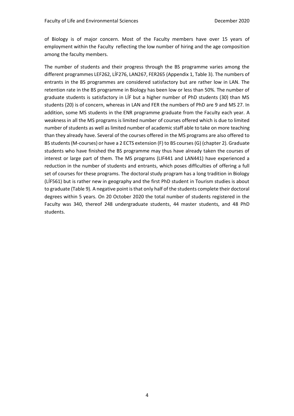of Biology is of major concern. Most of the Faculty members have over 15 years of employment within the Faculty reflecting the low number of hiring and the age composition among the faculty members.

The number of students and their progress through the BS programme varies among the different programmes LEF262, LÍF276, LAN267, FER265 (Appendix 1, Table 3). The numbers of entrants in the BS programmes are considered satisfactory but are rather low in LAN. The retention rate in the BS programme in Biology has been low or less than 50%. The number of graduate students is satisfactory in LÍF but a higher number of PhD students (30) than MS students (20) is of concern, whereas in LAN and FER the numbers of PhD are 9 and MS 27. In addition, some MS students in the ENR programme graduate from the Faculty each year. A weakness in all the MS programs is limited number of courses offered which is due to limited number of students as well as limited number of academic staff able to take on more teaching than they already have. Several of the courses offered in the MS programs are also offered to BS students (M-courses) or have a 2 ECTS extension (F) to BS courses (G) (chapter 2). Graduate students who have finished the BS programme may thus have already taken the courses of interest or large part of them. The MS programs (LIF441 and LAN441) have experienced a reduction in the number of students and entrants, which poses difficulties of offering a full set of courses for these programs. The doctoral study program has a long tradition in Biology (LÍF561) but is rather new in geography and the first PhD student in Tourism studies is about to graduate (Table 9). A negative point is that only half of the students complete their doctoral degrees within 5 years. On 20 October 2020 the total number of students registered in the Faculty was 340, thereof 248 undergraduate students, 44 master students, and 48 PhD students.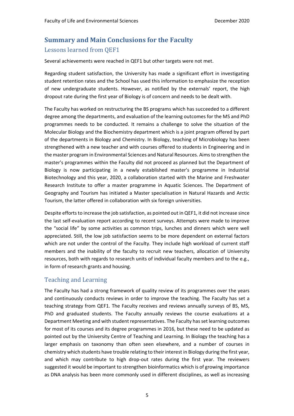### **Summary and Main Conclusions for the Faculty** Lessons learned from QEF1

Several achievements were reached in QEF1 but other targets were not met.

Regarding student satisfaction, the University has made a significant effort in investigating student retention rates and the School has used this information to emphasize the reception of new undergraduate students. However, as notified by the externals' report, the high dropout rate during the first year of Biology is of concern and needs to be dealt with.

The Faculty has worked on restructuring the BS programs which has succeeded to a different degree among the departments, and evaluation of the learning outcomes for the MS and PhD programmes needs to be conducted. It remains a challenge to solve the situation of the Molecular Biology and the Biochemistry department which is a joint program offered by part of the departments in Biology and Chemistry. In Biology, teaching of Microbiology has been strengthened with a new teacher and with courses offered to students in Engineering and in the master program in Environmental Sciences and Natural Resources. Aims to strengthen the master's programmes within the Faculty did not proceed as planned but the Department of Biology is now participating in a newly established master's programme in Industrial Biotechnology and this year, 2020, a collaboration started with the Marine and Freshwater Research Institute to offer a master programme in Aquatic Sciences. The Department of Geography and Tourism has initiated a Master specialisation in Natural Hazards and Arctic Tourism, the latter offered in collaboration with six foreign universities.

Despite efforts to increase the job satisfaction, as pointed out in QEF1, it did not increase since the last self-evaluation report according to recent surveys. Attempts were made to improve the "social life" by some activities as common trips, lunches and dinners which were well appreciated. Still, the low job satisfaction seems to be more dependent on external factors which are not under the control of the Faculty. They include high workload of current staff members and the inability of the faculty to recruit new teachers, allocation of University resources, both with regards to research units of individual faculty members and to the e.g., in form of research grants and housing.

### Teaching and Learning

The Faculty has had a strong framework of quality review of its programmes over the years and continuously conducts reviews in order to improve the teaching. The Faculty has set a teaching strategy from QEF1. The Faculty receives and reviews annually surveys of BS, MS, PhD and graduated students. The Faculty annually reviews the course evaluations at a Department Meeting and with student representatives. The Faculty has set learning outcomes for most of its courses and its degree programmes in 2016, but these need to be updated as pointed out by the University Centre of Teaching and Learning. In Biology the teaching has a larger emphasis on taxonomy than often seen elsewhere, and a number of courses in chemistry which students have trouble relating to their interest in Biology during the first year, and which may contribute to high drop-out rates during the first year. The reviewers suggested it would be important to strengthen bioinformatics which is of growing importance as DNA analysis has been more commonly used in different disciplines, as well as increasing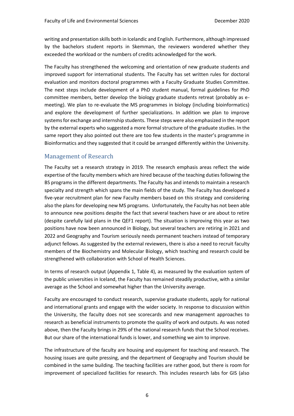writing and presentation skills both in Icelandic and English. Furthermore, although impressed by the bachelors student reports in Skemman, the reviewers wondered whether they exceeded the workload or the numbers of credits acknowledged for the work.

The Faculty has strengthened the welcoming and orientation of new graduate students and improved support for international students. The Faculty has set written rules for doctoral evaluation and monitors doctoral programmes with a Faculty Graduate Studies Committee. The next steps include development of a PhD student manual, formal guidelines for PhD committee members, better develop the biology graduate students retreat (probably as emeeting). We plan to re-evaluate the MS programmes in biology (including bioinformatics) and explore the development of further specializations. In addition we plan to improve systems for exchange and internship students. These steps were also emphasized in the report by the external experts who suggested a more formal structure of the graduate studies. In the same report they also pointed out there are too few students in the master's programme in Bioinformatics and they suggested that it could be arranged differently within the University.

### Management of Research

The Faculty set a research strategy in 2019. The research emphasis areas reflect the wide expertise of the faculty members which are hired because of the teaching duties following the BS programs in the different departments. The Faculty has and intends to maintain a research specialty and strength which spans the main fields of the study. The Faculty has developed a five-year recruitment plan for new Faculty members based on this strategy and considering also the plans for developing new MS programs. Unfortunately, the Faculty has not been able to announce new positions despite the fact that several teachers have or are about to retire (despite carefully laid plans in the QEF1 report). The situation is improving this year as two positions have now been announced in Biology, but several teachers are retiring in 2021 and 2022 and Geography and Tourism seriously needs permanent teachers instead of temporary adjunct fellows. As suggested by the external reviewers, there is also a need to recruit faculty members of the Biochemistry and Molecular Biology, which teaching and research could be strengthened with collaboration with School of Health Sciences.

In terms of research output (Appendix 1, Table 4), as measured by the evaluation system of the public universities in Iceland, the Faculty has remained steadily productive, with a similar average as the School and somewhat higher than the University average.

Faculty are encouraged to conduct research, supervise graduate students, apply for national and international grants and engage with the wider society. In response to discussion within the University, the faculty does not see scorecards and new management approaches to research as beneficial instruments to promote the quality of work and outputs. As was noted above, then the Faculty brings in 29% of the national research funds that the School receives. But our share of the international funds is lower, and something we aim to improve.

The infrastructure of the faculty are housing and equipment for teaching and research. The housing issues are quite pressing, and the department of Geography and Tourism should be combined in the same building. The teaching facilities are rather good, but there is room for improvement of specialized facilities for research. This includes research labs for GIS (also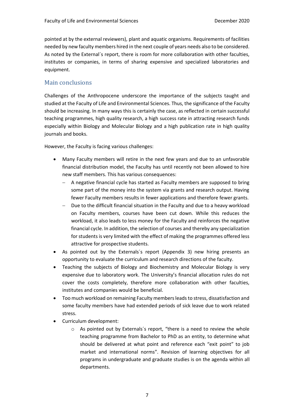pointed at by the external reviewers), plant and aquatic organisms. Requirements of facilities needed by new faculty members hired in the next couple of years needs also to be considered. As noted by the External´s report, there is room for more collaboration with other faculties, institutes or companies, in terms of sharing expensive and specialized laboratories and equipment.

### Main conclusions

Challenges of the Anthropocene underscore the importance of the subjects taught and studied at the Faculty of Life and Environmental Sciences. Thus, the significance of the Faculty should be increasing. In many ways this is certainly the case, as reflected in certain successful teaching programmes, high quality research, a high success rate in attracting research funds especially within Biology and Molecular Biology and a high publication rate in high quality journals and books.

However, the Faculty is facing various challenges:

- Many Faculty members will retire in the next few years and due to an unfavorable financial distribution model, the Faculty has until recently not been allowed to hire new staff members. This has various consequences:
	- − A negative financial cycle has started as Faculty members are supposed to bring some part of the money into the system via grants and research output. Having fewer Faculty members results in fewer applications and therefore fewer grants.
	- Due to the difficult financial situation in the Faculty and due to a heavy workload on Faculty members, courses have been cut down. While this reduces the workload, it also leads to less money for the Faculty and reinforces the negative financial cycle. In addition, the selection of courses and thereby any specialization for students is very limited with the effect of making the programmes offered less attractive for prospective students.
- As pointed out by the Externals´s report (Appendix 3) new hiring presents an opportunity to evaluate the curriculum and research directions of the faculty.
- Teaching the subjects of Biology and Biochemistry and Molecular Biology is very expensive due to laboratory work. The University's financial allocation rules do not cover the costs completely, therefore more collaboration with other faculties, institutes and companies would be beneficial.
- Too much workload on remaining Faculty members leads to stress, dissatisfaction and some faculty members have had extended periods of sick leave due to work related stress.
- Curriculum development:
	- o As pointed out by Externals´s report, "there is a need to review the whole teaching programme from Bachelor to PhD as an entity, to determine what should be delivered at what point and reference each "exit point" to job market and international norms". Revision of learning objectives for all programs in undergraduate and graduate studies is on the agenda within all departments.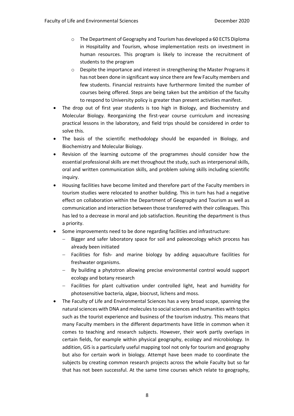- o The Department of Geography and Tourism has developed a 60 ECTS Diploma in Hospitality and Tourism, whose implementation rests on investment in human resources. This program is likely to increase the recruitment of students to the program
- $\circ$  Despite the importance and interest in strengthening the Master Programs it has not been done in significant way since there are few Faculty members and few students. Financial restraints have furthermore limited the number of courses being offered. Steps are being taken but the ambition of the faculty to respond to University policy is greater than present activities manifest.
- The drop out of first year students is too high in Biology, and Biochemistry and Molecular Biology. Reorganizing the first-year course curriculum and increasing practical lessons in the laboratory, and field trips should be considered in order to solve this.
- The basis of the scientific methodology should be expanded in Biology, and Biochemistry and Molecular Biology.
- Revision of the learning outcome of the programmes should consider how the essential professional skills are met throughout the study, such as interpersonal skills, oral and written communication skills, and problem solving skills including scientific inquiry.
- Housing facilities have become limited and therefore part of the Faculty members in tourism studies were relocated to another building. This in turn has had a negative effect on collaboration within the Department of Geography and Tourism as well as communication and interaction between those transferred with their colleagues. This has led to a decrease in moral and job satisfaction. Reuniting the department is thus a priority.
- Some improvements need to be done regarding facilities and infrastructure:
	- Bigger and safer laboratory space for soil and paleoecology which process has already been initiated
	- − Facilities for fish- and marine biology by adding aquaculture facilities for freshwater organisms.
	- − By building a phytotron allowing precise environmental control would support ecology and botany research
	- − Facilities for plant cultivation under controlled light, heat and humidity for photosensitive bacteria, algae, biocrust, lichens and moss.
- The Faculty of Life and Environmental Sciences has a very broad scope, spanning the natural sciences with DNA and molecules to social sciences and humanities with topics such as the tourist experience and business of the tourism industry. This means that many Faculty members in the different departments have little in common when it comes to teaching and research subjects. However, their work partly overlaps in certain fields, for example within physical geography, ecology and microbiology. In addition, GIS is a particularly useful mapping tool not only for tourism and geography but also for certain work in biology. Attempt have been made to coordinate the subjects by creating common research projects across the whole Faculty but so far that has not been successful. At the same time courses which relate to geography,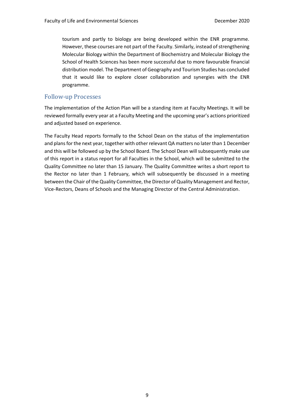tourism and partly to biology are being developed within the ENR programme. However, these courses are not part of the Faculty. Similarly, instead of strengthening Molecular Biology within the Department of Biochemistry and Molecular Biology the School of Health Sciences has been more successful due to more favourable financial distribution model. The Department of Geography and Tourism Studies has concluded that it would like to explore closer collaboration and synergies with the ENR programme.

### Follow-up Processes

The implementation of the Action Plan will be a standing item at Faculty Meetings. It will be reviewed formally every year at a Faculty Meeting and the upcoming year's actions prioritized and adjusted based on experience.

The Faculty Head reports formally to the School Dean on the status of the implementation and plans for the next year, together with other relevant QA matters no later than 1 December and this will be followed up by the School Board. The School Dean will subsequently make use of this report in a status report for all Faculties in the School, which will be submitted to the Quality Committee no later than 15 January. The Quality Committee writes a short report to the Rector no later than 1 February, which will subsequently be discussed in a meeting between the Chair of the Quality Committee, the Director of Quality Management and Rector, Vice-Rectors, Deans of Schools and the Managing Director of the Central Administration.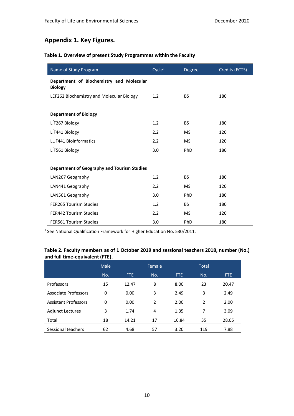### **Appendix 1. Key Figures.**

#### **Table 1. Overview of present Study Programmes within the Faculty**

| Name of Study Program                                      | Cycle <sup>1</sup> | Degree    | Credits (ECTS) |
|------------------------------------------------------------|--------------------|-----------|----------------|
| Department of Biochemistry and Molecular<br><b>Biology</b> |                    |           |                |
| LEF262 Biochemistry and Molecular Biology                  | 1.2                | <b>BS</b> | 180            |
|                                                            |                    |           |                |
| <b>Department of Biology</b>                               |                    |           |                |
| LÍF267 Biology                                             | 1.2                | <b>BS</b> | 180            |
| LÍF441 Biology                                             | 2.2                | <b>MS</b> | 120            |
| <b>LUF441 Bioinformatics</b>                               | 2.2                | MS.       | 120            |
| LÍF561 Biology                                             | 3.0                | PhD       | 180            |
|                                                            |                    |           |                |
| <b>Department of Geography and Tourism Studies</b>         |                    |           |                |
| LAN267 Geography                                           | 1.2                | <b>BS</b> | 180            |
| LAN441 Geography                                           | 2.2                | <b>MS</b> | 120            |
| LAN561 Geography                                           | 3.0                | PhD       | 180            |
| <b>FER265 Tourism Studies</b>                              | 1.2                | BS.       | 180            |
| <b>FER442 Tourism Studies</b>                              | 2.2                | <b>MS</b> | 120            |
| <b>FER561 Tourism Studies</b>                              | 3.0                | PhD       | 180            |

<sup>1</sup> See National Qualification Framework for Higher Education No. 530/2011.

### **Table 2. Faculty members as of 1 October 2019 and sessional teachers 2018, number (No.) and full time-equivalent (FTE).**

|                             | Male |       | Female |            | <b>Total</b> |       |
|-----------------------------|------|-------|--------|------------|--------------|-------|
|                             | No.  | FTE.  | No.    | <b>FTE</b> | No.          | FTE.  |
| Professors                  | 15   | 12.47 | 8      | 8.00       | 23           | 20.47 |
| Associate Professors        | 0    | 0.00  | 3      | 2.49       | 3            | 2.49  |
| <b>Assistant Professors</b> | 0    | 0.00  | 2      | 2.00       | 2            | 2.00  |
| <b>Adjunct Lectures</b>     | 3    | 1.74  | 4      | 1.35       | 7            | 3.09  |
| Total                       | 18   | 14.21 | 17     | 16.84      | 35           | 28.05 |
| Sessional teachers          | 62   | 4.68  | 57     | 3.20       | 119          | 7.88  |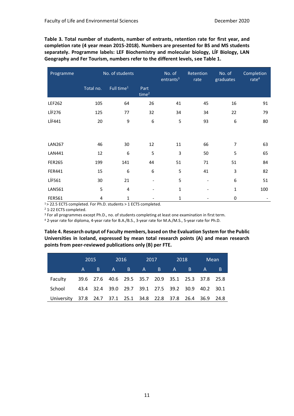**Table 3. Total number of students, number of entrants, retention rate for first year, and completion rate (4 year mean 2015-2018). Numbers are presented for BS and MS students separately. Programme labels: LEF Biochemistry and molecular biology, LÍF Biology, LAN Geography and Fer Tourism, numbers refer to the different levels, see Table 1.**

| Programme     | No. of students |                        |                           | No. of<br>entrants <sup>3</sup> | Retention<br>rate            | No. of<br>graduates | Completion<br>rate <sup>4</sup> |
|---------------|-----------------|------------------------|---------------------------|---------------------------------|------------------------------|---------------------|---------------------------------|
|               | Total no.       | Full time <sup>1</sup> | Part<br>time <sup>2</sup> |                                 |                              |                     |                                 |
| LEF262        | 105             | 64                     | 26                        | 41                              | 45                           | 16                  | 91                              |
| <b>LÍF276</b> | 125             | 77                     | 32                        | 34                              | 34                           | 22                  | 79                              |
| LÍF441        | 20              | 9                      | 6                         | 5                               | 93                           | 6                   | 80                              |
|               |                 |                        |                           |                                 |                              |                     |                                 |
| <b>LAN267</b> | 46              | 30                     | 12                        | 11                              | 66                           | $\overline{7}$      | 63                              |
| LAN441        | 12              | 6                      | 5                         | 3                               | 50                           | 5                   | 65                              |
| <b>FER265</b> | 199             | 141                    | 44                        | 51                              | 71                           | 51                  | 84                              |
| FER441        | 15              | 6                      | 6                         | 5                               | 41                           | 3                   | 82                              |
| LÍF561        | 30              | 21                     |                           | 5                               | $\qquad \qquad \blacksquare$ | 6                   | 51                              |
| <b>LAN561</b> | 5               | 4                      |                           | $\mathbf{1}$                    |                              | $\mathbf{1}$        | 100                             |
| <b>FER561</b> | 4               | 1                      |                           | 1                               |                              | 0                   |                                 |

<sup>1</sup>> 22.5 ECTS completed. For Ph.D. students > 1 ECTS completed.

<sup>2</sup> 1-22 ECTS completed.

<sup>3</sup> For all programmes except Ph.D., no. of students completing at least one examination in first term.

<sup>4</sup> 2-year rate for diploma, 4-year rate for B.A./B.S., 3-year rate for M.A./M.S., 5-year rate for Ph.D.

**Table 4. Research output of Faculty members, based on the Evaluation System for the Public Universities in Iceland, expressed by mean total research points (A) and mean research points from peer-reviewed publications only (B) per FTE.**

|                                                              | 2015    | <u>2016 - </u> |                                                   | 2017 | 2018 | Mean |
|--------------------------------------------------------------|---------|----------------|---------------------------------------------------|------|------|------|
|                                                              | $A \tB$ |                | A B A B A B A                                     |      |      | B.   |
| Faculty                                                      |         |                | 39.6 27.6 40.6 29.5 35.7 20.9 35.1 25.3 37.8 25.8 |      |      |      |
| School                                                       |         |                | 43.4 32.4 39.0 29.7 39.1 27.5 39.2 30.9 40.2 30.1 |      |      |      |
| University 37.8 24.7 37.1 25.1 34.8 22.8 37.8 26.4 36.9 24.8 |         |                |                                                   |      |      |      |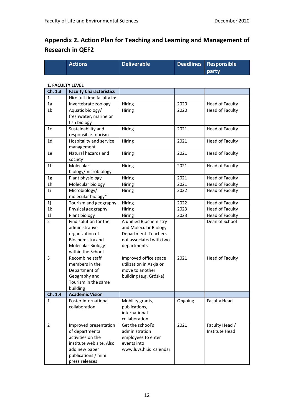### **Appendix 2. Action Plan for Teaching and Learning and Management of Research in QEF2**

| <b>Actions</b> | Deliverable | Deadlines Responsible |
|----------------|-------------|-----------------------|
|                |             | party                 |

#### **1. FACULTY LEVEL**

| Ch. 1.3                 | <b>Faculty Characteristics</b>                                                                                                                                                                          |                                                                                                                                    |                 |                                       |
|-------------------------|---------------------------------------------------------------------------------------------------------------------------------------------------------------------------------------------------------|------------------------------------------------------------------------------------------------------------------------------------|-----------------|---------------------------------------|
| 1                       | Hire full-time faculty in:                                                                                                                                                                              |                                                                                                                                    |                 |                                       |
| 1a                      | Invertebrate zoology                                                                                                                                                                                    | Hiring                                                                                                                             | 2020            | Head of Faculty                       |
| 1b                      | Aquatic biology/                                                                                                                                                                                        | Hiring                                                                                                                             | 2020            | <b>Head of Faculty</b>                |
|                         | freshwater, marine or                                                                                                                                                                                   |                                                                                                                                    |                 |                                       |
|                         | fish biology                                                                                                                                                                                            |                                                                                                                                    |                 |                                       |
| 1 <sub>c</sub>          | Sustainability and                                                                                                                                                                                      | Hiring                                                                                                                             | 2021            | Head of Faculty                       |
|                         | responsible tourism                                                                                                                                                                                     |                                                                                                                                    |                 |                                       |
| 1 <sub>d</sub>          | Hospitality and service                                                                                                                                                                                 | Hiring                                                                                                                             | 2021            | Head of Faculty                       |
|                         | management                                                                                                                                                                                              |                                                                                                                                    |                 |                                       |
| 1e                      | Natural hazards and                                                                                                                                                                                     | Hiring                                                                                                                             | 2021            | Head of Faculty                       |
|                         | society                                                                                                                                                                                                 |                                                                                                                                    |                 |                                       |
| 1 <sup>f</sup>          | Molecular                                                                                                                                                                                               | Hiring                                                                                                                             | 2021            | Head of Faculty                       |
|                         | biology/microbiology                                                                                                                                                                                    |                                                                                                                                    |                 |                                       |
| 1g                      | Plant physiology                                                                                                                                                                                        | Hiring                                                                                                                             | 2021            | Head of Faculty                       |
| 1h                      | Molecular biology                                                                                                                                                                                       | Hiring                                                                                                                             | 2021            | Head of Faculty                       |
| 1i                      | Microbiology/                                                                                                                                                                                           | Hiring                                                                                                                             | 2022            | <b>Head of Faculty</b>                |
|                         | molecular biology*                                                                                                                                                                                      |                                                                                                                                    |                 |                                       |
| 1j                      | Tourism and geography                                                                                                                                                                                   | Hiring                                                                                                                             | 2022            | Head of Faculty                       |
| 1 <sup>k</sup>          | Physical geography                                                                                                                                                                                      | Hiring                                                                                                                             | 2023            | Head of Faculty                       |
| 11                      | Plant biology                                                                                                                                                                                           | Hiring                                                                                                                             | 2023            | Head of Faculty                       |
| $\overline{2}$          | Find solution for the                                                                                                                                                                                   | A unified Biochemistry                                                                                                             |                 | Dean of School                        |
|                         | administrative                                                                                                                                                                                          | and Molecular Biology                                                                                                              |                 |                                       |
|                         | organization of                                                                                                                                                                                         | Department. Teachers                                                                                                               |                 |                                       |
|                         | Biochemistry and                                                                                                                                                                                        | not associated with two                                                                                                            |                 |                                       |
|                         | Molecular Biology                                                                                                                                                                                       | departments                                                                                                                        |                 |                                       |
|                         | within the School                                                                                                                                                                                       |                                                                                                                                    |                 |                                       |
| 3                       | Recombine staff                                                                                                                                                                                         | Improved office space                                                                                                              | 2021            | Head of Faculty                       |
|                         | members in the                                                                                                                                                                                          | utilization in Askja or                                                                                                            |                 |                                       |
|                         | Department of                                                                                                                                                                                           | move to another                                                                                                                    |                 |                                       |
|                         |                                                                                                                                                                                                         |                                                                                                                                    |                 |                                       |
|                         |                                                                                                                                                                                                         |                                                                                                                                    |                 |                                       |
|                         |                                                                                                                                                                                                         |                                                                                                                                    |                 |                                       |
|                         |                                                                                                                                                                                                         |                                                                                                                                    |                 |                                       |
|                         |                                                                                                                                                                                                         |                                                                                                                                    |                 |                                       |
|                         |                                                                                                                                                                                                         |                                                                                                                                    |                 |                                       |
|                         |                                                                                                                                                                                                         |                                                                                                                                    |                 |                                       |
| 2                       |                                                                                                                                                                                                         | Get the school's                                                                                                                   |                 |                                       |
|                         |                                                                                                                                                                                                         | administration                                                                                                                     |                 | Institute Head                        |
|                         | activities on the                                                                                                                                                                                       |                                                                                                                                    |                 |                                       |
|                         | institute web site. Also                                                                                                                                                                                |                                                                                                                                    |                 |                                       |
|                         |                                                                                                                                                                                                         | www.luvs.hi.is calendar                                                                                                            |                 |                                       |
|                         |                                                                                                                                                                                                         |                                                                                                                                    |                 |                                       |
|                         | press releases                                                                                                                                                                                          |                                                                                                                                    |                 |                                       |
| Ch. 1.4<br>$\mathbf{1}$ | Geography and<br>Tourism in the same<br>building<br><b>Academic Vision</b><br>Foster international<br>collaboration<br>Improved presentation<br>of departmental<br>add new paper<br>publications / mini | building (e.g. Gróska)<br>Mobility grants,<br>publications,<br>international<br>collaboration<br>employees to enter<br>events into | Ongoing<br>2021 | <b>Faculty Head</b><br>Faculty Head / |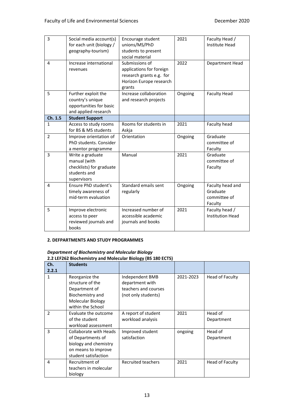| 3              | Social media account(s)<br>for each unit (biology /<br>geography-tourism)                   | Encourage student<br>unions/MS/PhD<br>students to present<br>social material                                | 2021    | Faculty Head /<br>Institute Head                        |
|----------------|---------------------------------------------------------------------------------------------|-------------------------------------------------------------------------------------------------------------|---------|---------------------------------------------------------|
| 4              | Increase international<br>revenues                                                          | Submissions of<br>applications for foreign<br>research grants e.g. for<br>Horizon Europe research<br>grants | 2022    | Department Head                                         |
| 5              | Further exploit the<br>country's unique<br>opportunities for basic<br>and applied research  | Increase collaboration<br>and research projects                                                             | Ongoing | <b>Faculty Head</b>                                     |
| Ch. 1.5        | <b>Student Support</b>                                                                      |                                                                                                             |         |                                                         |
| $\mathbf{1}$   | Access to study rooms<br>for BS & MS students                                               | Rooms for students in<br>Askja                                                                              | 2021    | Faculty head                                            |
| $\overline{2}$ | Improve orientation of<br>PhD students, Consider<br>a mentor programme                      | Orientation                                                                                                 | Ongoing | Graduate<br>committee of<br>Faculty                     |
| 3              | Write a graduate<br>manual (with<br>checklists) for graduate<br>students and<br>supervisors | Manual                                                                                                      | 2021    | Graduate<br>committee of<br>Faculty                     |
| 4              | Ensure PhD student's<br>timely awareness of<br>mid-term evaluation                          | Standard emails sent<br>regularly                                                                           | Ongoing | Faculty head and<br>Graduate<br>committee of<br>Faculty |
| 5              | Improve electronic<br>access to peer<br>reviewed journals and<br>books                      | Increased number of<br>accessible academic<br>journals and books                                            | 2021    | Faculty head /<br><b>Institution Head</b>               |

#### **2. DEFPARTMENTS AND STUDY PROGRAMMES**

### *Department of Biochemistry and Molecular Biology*

**2.2 LEF262 Biochemistry and Molecular Biology (BS 180 ECTS)**

| Ch.           | <b>Students</b>        |                      |           |                 |
|---------------|------------------------|----------------------|-----------|-----------------|
| 2.2.1         |                        |                      |           |                 |
| 1             | Reorganize the         | Independent BMB      | 2021-2023 | Head of Faculty |
|               | structure of the       | department with      |           |                 |
|               | Department of          | teachers and courses |           |                 |
|               | Biochemistry and       | (not only students)  |           |                 |
|               | Molecular Biology      |                      |           |                 |
|               | within the School      |                      |           |                 |
| $\mathcal{P}$ | Evaluate the outcome   | A report of student  | 2021      | Head of         |
|               | of the student         | workload analysis    |           | Department      |
|               | workload assessment    |                      |           |                 |
| 3             | Collaborate with Heads | Improved student     | ongoing   | Head of         |
|               | of Departments of      | satisfaction         |           | Department      |
|               | biology and chemistry  |                      |           |                 |
|               | on means to improve    |                      |           |                 |
|               | student satisfaction   |                      |           |                 |
| 4             | Recruitment of         | Recruited teachers   | 2021      | Head of Faculty |
|               | teachers in molecular  |                      |           |                 |
|               | biology                |                      |           |                 |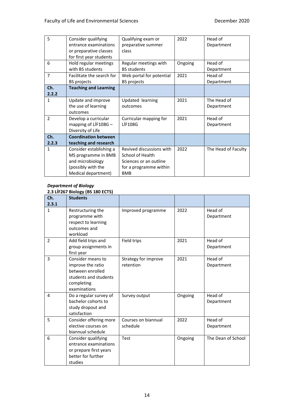| 5              | Consider qualifying          | Qualifying exam or       | 2022    | Head of             |
|----------------|------------------------------|--------------------------|---------|---------------------|
|                | entrance examinations        | preparative summer       |         | Department          |
|                | or preparative classes       | class                    |         |                     |
|                | for first year students      |                          |         |                     |
| 6              | Hold regular meetings        | Regular meetings with    | Ongoing | Head of             |
|                | with BS students             | <b>BS</b> students       |         | Department          |
| $\overline{7}$ | Facilitate the search for    | Web portal for potential | 2021    | Head of             |
|                | BS projects                  | <b>BS</b> projects       |         | Department          |
| Ch.            | <b>Teaching and Learning</b> |                          |         |                     |
| 2.2.2          |                              |                          |         |                     |
| 1              | Update and improve           | Updated learning         | 2021    | The Head of         |
|                | the use of learning          | outcomes                 |         | Department          |
|                | outcomes                     |                          |         |                     |
| $\overline{2}$ | Develop a curricular         | Curricular mapping for   | 2021    | Head of             |
|                | mapping of LÍF108G-          | <b>LÍF108G</b>           |         | Department          |
|                | Diversity of Life            |                          |         |                     |
| Ch.            | <b>Coordination between</b>  |                          |         |                     |
| 2.2.3          | teaching and research        |                          |         |                     |
| 1              | Consider establishing a      | Revived discussions with | 2022    | The Head of Faculty |
|                | MS programme in BMB          | School of Health         |         |                     |
|                | and microbiology             | Sciences or an outline   |         |                     |
|                | (possibly with the           | for a programme within   |         |                     |
|                | Medical department)          | <b>BMB</b>               |         |                     |

#### *Department of Biology* **2.3 LÍF267 Biology (BS 180 ECTS)**

|                | $2.5$ cm 207 Diorogy (DS 100 ECTS)                                                                                |                                   |         |                       |
|----------------|-------------------------------------------------------------------------------------------------------------------|-----------------------------------|---------|-----------------------|
| Ch.            | <b>Students</b>                                                                                                   |                                   |         |                       |
| 2.3.1          |                                                                                                                   |                                   |         |                       |
| $\mathbf{1}$   | Restructuring the<br>programme with<br>respect to learning<br>outcomes and<br>workload                            | Improved programme                | 2022    | Head of<br>Department |
| $\overline{2}$ | Add field trips and<br>group assignments in<br>first year                                                         | Field trips                       | 2021    | Head of<br>Department |
| 3              | Consider means to<br>improve the ratio<br>between enrolled<br>students and students<br>completing<br>examinations | Strategy for improve<br>retention | 2021    | Head of<br>Department |
| 4              | Do a regular survey of<br>bachelor cohorts to<br>study dropout and<br>satisfaction                                | Survey output                     | Ongoing | Head of<br>Department |
| 5              | Consider offering more<br>elective courses on<br>biannual schedule                                                | Courses on biannual<br>schedule   | 2022    | Head of<br>Department |
| 6              | Consider qualifying<br>entrance examinations<br>or prepare first years<br>better for further<br>studies           | Test                              | Ongoing | The Dean of School    |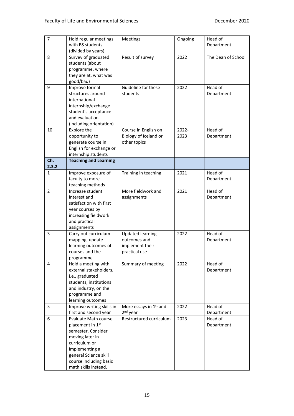| $\overline{7}$ | Hold regular meetings<br>with BS students<br>(divided by years)                                                                                                                                                    | Meetings                                                                    | Ongoing       | Head of<br>Department |
|----------------|--------------------------------------------------------------------------------------------------------------------------------------------------------------------------------------------------------------------|-----------------------------------------------------------------------------|---------------|-----------------------|
| 8              | Survey of graduated<br>students (about<br>programme, where<br>they are at, what was<br>good/bad)                                                                                                                   | Result of survey                                                            | 2022          | The Dean of School    |
| 9              | Improve formal<br>structures around<br>international<br>internship/exchange<br>student's acceptance<br>and evaluation<br>(including orientation)                                                                   | Guideline for these<br>students                                             | 2022          | Head of<br>Department |
| 10             | Explore the<br>opportunity to<br>generate course in<br>English for exchange or<br>internship students                                                                                                              | Course in English on<br>Biology of Iceland or<br>other topics               | 2022-<br>2023 | Head of<br>Department |
| Ch.<br>2.3.2   | <b>Teaching and Learning</b>                                                                                                                                                                                       |                                                                             |               |                       |
| 1              | Improve exposure of<br>faculty to more<br>teaching methods                                                                                                                                                         | Training in teaching                                                        | 2021          | Head of<br>Department |
| $\overline{2}$ | Increase student<br>interest and<br>satisfaction with first<br>year courses by<br>increasing fieldwork<br>and practical<br>assignments                                                                             | More fieldwork and<br>assignments                                           | 2021          | Head of<br>Department |
| 3              | Carry out curriculum<br>mapping, update<br>learning outcomes of<br>courses and the<br>programme                                                                                                                    | <b>Updated learning</b><br>outcomes and<br>implement their<br>practical use | 2022          | Head of<br>Department |
| 4              | Hold a meeting with<br>external stakeholders,<br>i.e., graduated<br>students, institutions<br>and industry, on the<br>programme and<br>learning outcomes                                                           | Summary of meeting                                                          | 2022          | Head of<br>Department |
| 5              | Improve writing skills in<br>first and second year                                                                                                                                                                 | More essays in 1 <sup>st</sup> and<br>$2nd$ year                            | 2022          | Head of<br>Department |
| 6              | <b>Evaluate Math course</b><br>placement in 1 <sup>st</sup><br>semester. Consider<br>moving later in<br>curriculum or<br>implementing a<br>general Science skill<br>course including basic<br>math skills instead. | Restructured curriculum                                                     | 2023          | Head of<br>Department |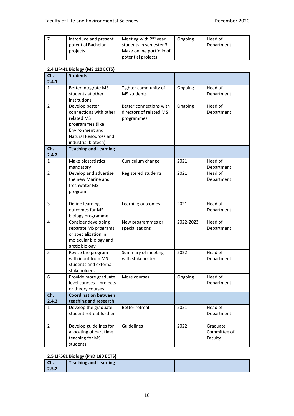| Introduce and present | Meeting with $2^{nd}$ year | Ongoing | Head of    |
|-----------------------|----------------------------|---------|------------|
| potential Bachelor    | students in semester 3;    |         | Department |
| projects              | Make online portfolio of   |         |            |
|                       | potential projects         |         |            |

#### **2.4 LÍF441 Biology (MS 120 ECTS)**

| Ch.            | <b>Students</b>                                                                                                                               |                                                                  |           |                                     |
|----------------|-----------------------------------------------------------------------------------------------------------------------------------------------|------------------------------------------------------------------|-----------|-------------------------------------|
| 2.4.1          |                                                                                                                                               |                                                                  |           |                                     |
| 1              | Better integrate MS<br>students at other<br>institutions                                                                                      | Tighter community of<br><b>MS students</b>                       | Ongoing   | Head of<br>Department               |
| $\overline{2}$ | Develop better<br>connections with other<br>related MS<br>programmes (like<br>Environment and<br>Natural Resources and<br>industrial biotech) | Better connections with<br>directors of related MS<br>programmes | Ongoing   | Head of<br>Department               |
| Ch.<br>2.4.2   | <b>Teaching and Learning</b>                                                                                                                  |                                                                  |           |                                     |
| 1              | Make biostatistics<br>mandatory                                                                                                               | Curriculum change                                                | 2021      | Head of<br>Department               |
| $\overline{2}$ | Develop and advertise<br>the new Marine and<br>freshwater MS<br>program                                                                       | Registered students                                              | 2021      | Head of<br>Department               |
| 3              | Define learning<br>outcomes for MS<br>biology programme                                                                                       | Learning outcomes                                                | 2021      | Head of<br>Department               |
| 4              | Consider developing<br>separate MS programs<br>or specialization in<br>molecular biology and<br>arctic biology                                | New programmes or<br>specializations                             | 2022-2023 | Head of<br>Department               |
| 5              | Revise the program<br>with input from MS<br>students and external<br>stakeholders                                                             | Summary of meeting<br>with stakeholders                          | 2022      | Head of<br>Department               |
| 6              | Provide more graduate<br>level courses - projects<br>or theory courses                                                                        | More courses                                                     | Ongoing   | Head of<br>Department               |
| Ch.            | <b>Coordination between</b>                                                                                                                   |                                                                  |           |                                     |
| 2.4.3          | teaching and research                                                                                                                         |                                                                  |           |                                     |
| 1              | Develop the graduate<br>student retreat further                                                                                               | Better retreat                                                   | 2021      | Head of<br>Department               |
| $\overline{2}$ | Develop guidelines for<br>allocating of part time<br>teaching for MS<br>students                                                              | Guidelines                                                       | 2022      | Graduate<br>Committee of<br>Faculty |

### **2.5 LÍF561 Biology (PhD 180 ECTS)**

| <b>CH.</b> | <b>Teaching and Learning</b> |  |  |
|------------|------------------------------|--|--|
| 2.5.2      |                              |  |  |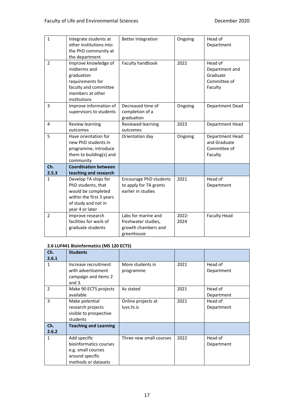| $\mathbf{1}$   | Integrate students at<br>other institutions into<br>the PhD community at<br>the department                                             | <b>Better integration</b>                                                       | Ongoing       | Head of<br>Department                                            |
|----------------|----------------------------------------------------------------------------------------------------------------------------------------|---------------------------------------------------------------------------------|---------------|------------------------------------------------------------------|
| $\overline{2}$ | Improve knowledge of<br>midterms and<br>graduation<br>requirements for<br>faculty and committee<br>members at other<br>institutions    | Faculty handbook                                                                | 2022          | Head of<br>Department and<br>Graduate<br>Committee of<br>Faculty |
| 3              | Improve information of<br>supervisors to students                                                                                      | Decreased time of<br>completion of a<br>graduation                              | Ongoing       | Department Dead                                                  |
| 4              | Review learning<br>outcomes                                                                                                            | Reviewed learning<br>outcomes                                                   | 2023          | Department Head                                                  |
| 5              | Have orientation for<br>new PhD students in<br>programme, introduce<br>them to building(s) and<br>community                            | Orientation day                                                                 | Ongoing       | Department Head<br>and Graduate<br>Committee of<br>Faculty       |
| Ch.<br>2.5.3   | <b>Coordination between</b><br>teaching and research                                                                                   |                                                                                 |               |                                                                  |
| $\mathbf{1}$   | Develop TA ships for<br>PhD students, that<br>would be completed<br>within the first 3 years<br>of study and not in<br>year 4 or later | <b>Encourage PhD students</b><br>to apply for TA grants<br>earlier in studies   | 2021          | Head of<br>Department                                            |
| $\overline{2}$ | Improve research<br>facilities for work of<br>graduate students                                                                        | Labs for marine and<br>freshwater studies,<br>growth chambers and<br>greenhouse | 2022-<br>2024 | <b>Faculty Head</b>                                              |

#### **2.6 LUF441 Bioinformatics (MS 120 ECTS)**

| Ch.<br>2.6.1   | <b>Students</b>                            |                               |      |                       |
|----------------|--------------------------------------------|-------------------------------|------|-----------------------|
| 1              | Increase recruitment<br>with advertisement | More students in<br>programme | 2021 | Head of<br>Department |
|                | campaign and items 2<br>and $3.$           |                               |      |                       |
| $\overline{2}$ | Make 90 ECTS projects                      | As stated                     | 2021 | Head of               |
|                | available                                  |                               |      | Department            |
| 3              | Make potential                             | Online projects at            | 2021 | Head of               |
|                | research projects                          | luvs.hi.is                    |      | Department            |
|                | visible to prospective                     |                               |      |                       |
|                | students                                   |                               |      |                       |
| Ch.            | <b>Teaching and Learning</b>               |                               |      |                       |
| 2.6.2          |                                            |                               |      |                       |
| 1              | Add specific                               | Three new small courses       | 2022 | Head of               |
|                | bioinformatics courses                     |                               |      | Department            |
|                | e.g. small courses                         |                               |      |                       |
|                | around specific                            |                               |      |                       |
|                | methods or datasets                        |                               |      |                       |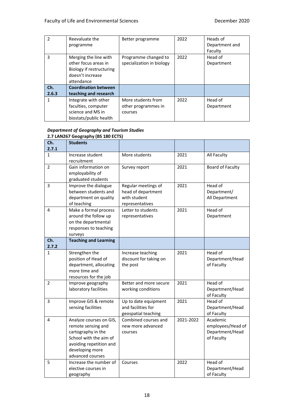| $\mathfrak z$ | Reevaluate the<br>programme                                                                                 | Better programme                                     | 2022 | Heads of<br>Department and<br>Faculty |
|---------------|-------------------------------------------------------------------------------------------------------------|------------------------------------------------------|------|---------------------------------------|
| 3             | Merging the line with<br>other focus areas in<br>Biology if restructuring<br>doesn't increase<br>attendance | Programme changed to<br>specialization in biology    | 2022 | Head of<br>Department                 |
| Ch.           | <b>Coordination between</b>                                                                                 |                                                      |      |                                       |
| 2.6.3         | teaching and research                                                                                       |                                                      |      |                                       |
|               | Integrate with other<br>faculties, computer<br>science and MS in<br>biostats/public health                  | More students from<br>other programmes in<br>courses | 2022 | Head of<br>Department                 |

#### *Department of Geography and Tourism Studies* **2.7 LAN267 Geography (BS 180 ECTS)**

|                | 2.7 LANZO7 Geography (DS 100 ECTS) |                        |           |                   |
|----------------|------------------------------------|------------------------|-----------|-------------------|
| Ch.            | <b>Students</b>                    |                        |           |                   |
| 2.7.1          |                                    |                        |           |                   |
| $\mathbf{1}$   | Increase student                   | More students          | 2021      | All Faculty       |
|                | recruitment                        |                        |           |                   |
| $\overline{2}$ | Gain information on                | Survey report          | 2021      | Board of Faculty  |
|                | employability of                   |                        |           |                   |
|                | graduated students                 |                        |           |                   |
| 3              | Improve the dialogue               | Regular meetings of    | 2021      | Head of           |
|                | between students and               | head of department     |           | Department/       |
|                | department on quality              | with student           |           | All Department    |
|                | of teaching                        | representatives        |           |                   |
| 4              | Make a formal process              | Letter to students     | 2021      | Head of           |
|                | around the follow up               | representatives        |           | Department        |
|                | on the departmental                |                        |           |                   |
|                | responses to teaching              |                        |           |                   |
|                | surveys                            |                        |           |                   |
| Ch.            | <b>Teaching and Learning</b>       |                        |           |                   |
| 2.7.2          |                                    |                        |           |                   |
| $\mathbf{1}$   | Strengthen the                     | Increase teaching      | 2021      | Head of           |
|                | position of Head of                | discount for taking on |           | Department/Head   |
|                | department, allocating             | the post               |           | of Faculty        |
|                | more time and                      |                        |           |                   |
|                | resources for the job              |                        |           |                   |
| $\overline{2}$ | Improve geography                  | Better and more secure | 2021      | Head of           |
|                | laboratory facilities              | working conditions     |           | Department/Head   |
|                |                                    |                        |           | of Faculty        |
| 3              | Improve GIS & remote               | Up to date equipment   | 2021      | Head of           |
|                | sensing facilities                 | and facilities for     |           | Department/Head   |
|                |                                    | geospatial teaching    |           | of Faculty        |
| 4              | Analyze courses on GIS,            | Combined courses and   | 2021-2022 | Academic          |
|                | remote sensing and                 | new more advanced      |           | employees/Head of |
|                | cartography in the                 | courses                |           | Department/Head   |
|                | School with the aim of             |                        |           | of Faculty        |
|                | avoiding repetition and            |                        |           |                   |
|                | developing more                    |                        |           |                   |
|                | advanced courses                   |                        |           |                   |
| 5              | Increase the number of             | Courses                | 2022      | Head of           |
|                | elective courses in                |                        |           | Department/Head   |
|                | geography                          |                        |           | of Faculty        |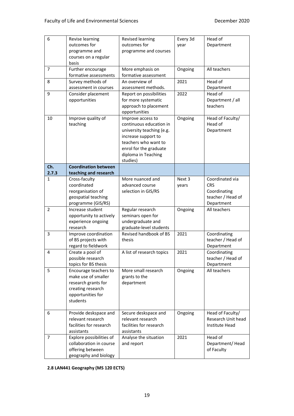| 6              | Revise learning<br>outcomes for<br>programme and<br>courses on a regular<br>basis                                         | Revised learning<br>outcomes for<br>programme and courses                                                                                                                             | Every 3d<br>year | Head of<br>Department                                                            |
|----------------|---------------------------------------------------------------------------------------------------------------------------|---------------------------------------------------------------------------------------------------------------------------------------------------------------------------------------|------------------|----------------------------------------------------------------------------------|
| $\overline{7}$ | Further encourage<br>formative assessments                                                                                | More emphasis on<br>formative assessment                                                                                                                                              | Ongoing          | All teachers                                                                     |
| 8              | Survey methods of<br>assessment in courses                                                                                | An overview of<br>assessment methods.                                                                                                                                                 | 2021             | Head of<br>Department                                                            |
| 9              | Consider placement<br>opportunities                                                                                       | Report on possibilities<br>for more systematic<br>approach to placement<br>opportunities                                                                                              | 2022             | Head of<br>Department / all<br>teachers                                          |
| 10             | Improve quality of<br>teaching                                                                                            | Improve access to<br>continuous education in<br>university teaching (e.g.<br>increase support to<br>teachers who want to<br>enrol for the graduate<br>diploma in Teaching<br>studies) | Ongoing          | Head of Faculty/<br>Head of<br>Department                                        |
| Ch.<br>2.7.3   | <b>Coordination between</b><br>teaching and research                                                                      |                                                                                                                                                                                       |                  |                                                                                  |
| $\mathbf{1}$   | Cross-faculty<br>coordinated<br>reorganisation of<br>geospatial teaching<br>programme (GIS/RS)                            | More nuanced and<br>advanced course<br>selection in GIS/RS                                                                                                                            | Next 3<br>years  | Coordinated via<br><b>CRS</b><br>Coordinating<br>teacher / Head of<br>Department |
| $\overline{2}$ | Increase student<br>opportunity to actively<br>experience ongoing<br>research                                             | Regular research<br>seminars open for<br>undergraduate and<br>graduate-level students                                                                                                 | Ongoing          | All teachers                                                                     |
| 3              | Improve coordination<br>of BS projects with<br>regard to fieldwork                                                        | Revised handbook of BS<br>thesis                                                                                                                                                      | 2021             | Coordinating<br>teacher / Head of<br>Department                                  |
| 4              | Create a pool of<br>possible research<br>topics for BS thesis                                                             | A list of research topics                                                                                                                                                             | 2021             | Coordinating<br>teacher / Head of<br>Department                                  |
| 5              | Encourage teachers to<br>make use of smaller<br>research grants for<br>creating research<br>opportunities for<br>students | More small research<br>grants to the<br>department                                                                                                                                    | Ongoing          | All teachers                                                                     |
| 6              | Provide deskspace and<br>relevant research<br>facilities for research<br>assistants                                       | Secure deskspace and<br>relevant research<br>facilities for research<br>assistants                                                                                                    | Ongoing          | Head of Faculty/<br>Research Unit head<br>Institute Head                         |
| 7              | Explore possibilities of<br>collaboration in course<br>offering between<br>geography and biology                          | Analyse the situation<br>and report                                                                                                                                                   | 2021             | Head of<br>Department/Head<br>of Faculty                                         |

**2.8 LAN441 Geography (MS 120 ECTS)**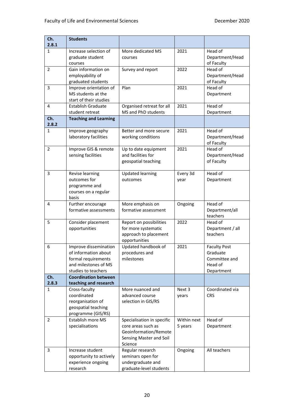| Ch.<br>2.8.1   | <b>Students</b>                                                                                                     |                                                                                                                 |                        |                                                                           |
|----------------|---------------------------------------------------------------------------------------------------------------------|-----------------------------------------------------------------------------------------------------------------|------------------------|---------------------------------------------------------------------------|
| 1              | Increase selection of<br>graduate student<br>courses                                                                | More dedicated MS<br>courses                                                                                    | 2021                   | Head of<br>Department/Head<br>of Faculty                                  |
| $\overline{2}$ | Gain information on<br>employability of<br>graduated students                                                       | Survey and report                                                                                               | 2022                   | Head of<br>Department/Head<br>of Faculty                                  |
| 3              | Improve orientation of<br>MS students at the<br>start of their studies                                              | Plan                                                                                                            | 2021                   | Head of<br>Department                                                     |
| 4              | <b>Establish Graduate</b><br>student retreat                                                                        | Organised retreat for all<br>MS and PhD students                                                                | 2021                   | Head of<br>Department                                                     |
| Ch.<br>2.8.2   | <b>Teaching and Learning</b>                                                                                        |                                                                                                                 |                        |                                                                           |
| 1              | Improve geography<br>laboratory facilities                                                                          | Better and more secure<br>working conditions                                                                    | 2021                   | Head of<br>Department/Head<br>of Faculty                                  |
| $\overline{2}$ | Improve GIS & remote<br>sensing facilities                                                                          | Up to date equipment<br>and facilities for<br>geospatial teaching                                               | 2021                   | Head of<br>Department/Head<br>of Faculty                                  |
| 3              | Revise learning<br>outcomes for<br>programme and<br>courses on a regular<br>basis                                   | <b>Updated learning</b><br>outcomes                                                                             | Every 3d<br>year       | Head of<br>Department                                                     |
| 4              | Further encourage<br>formative assessments                                                                          | More emphasis on<br>formative assessment                                                                        | Ongoing                | Head of<br>Department/all<br>teachers                                     |
| 5              | Consider placement<br>opportunities                                                                                 | Report on possibilities<br>for more systematic<br>approach to placement<br>opportunities                        | 2022                   | Head of<br>Department / all<br>teachers                                   |
| 6              | Improve dissemination<br>of information about<br>formal requirements<br>and milestones of MS<br>studies to teachers | Updated handbook of<br>procedures and<br>milestones                                                             | 2021                   | <b>Faculty Post</b><br>Graduate<br>Committee and<br>Head of<br>Department |
| Ch.<br>2.8.3   | <b>Coordination between</b><br>teaching and research                                                                |                                                                                                                 |                        |                                                                           |
| 1              | Cross-faculty<br>coordinated<br>reorganisation of<br>geospatial teaching<br>programme (GIS/RS)                      | More nuanced and<br>advanced course<br>selection in GIS/RS                                                      | Next 3<br>years        | Coordinated via<br><b>CRS</b>                                             |
| $\overline{2}$ | Establish more MS<br>specialisations                                                                                | Specialisation in specific<br>core areas such as<br>Geoinformation/Remote<br>Sensing Master and Soil<br>Science | Within next<br>5 years | Head of<br>Department                                                     |
| 3              | Increase student<br>opportunity to actively<br>experience ongoing<br>research                                       | Regular research<br>seminars open for<br>undergraduate and<br>graduate-level students                           | Ongoing                | All teachers                                                              |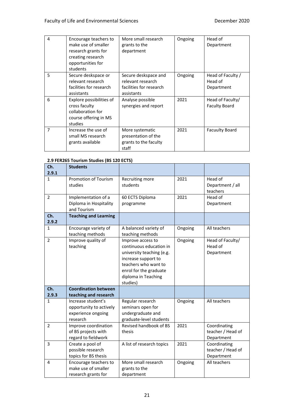| 4 | Encourage teachers to<br>make use of smaller<br>research grants for<br>creating research<br>opportunities for<br>students | More small research<br>grants to the<br>department                                 | Ongoing | Head of<br>Department                      |
|---|---------------------------------------------------------------------------------------------------------------------------|------------------------------------------------------------------------------------|---------|--------------------------------------------|
| 5 | Secure deskspace or<br>relevant research<br>facilities for research<br>assistants                                         | Secure deskspace and<br>relevant research<br>facilities for research<br>assistants | Ongoing | Head of Faculty /<br>Head of<br>Department |
| 6 | Explore possibilities of<br>cross faculty<br>collaboration for<br>course offering in MS<br>studies                        | Analyse possible<br>synergies and report                                           | 2021    | Head of Faculty/<br><b>Faculty Board</b>   |
| 7 | Increase the use of<br>small MS research<br>grants available                                                              | More systematic<br>presentation of the<br>grants to the faculty<br>staff           | 2021    | <b>Facuulty Board</b>                      |

### **2.9 FER265 Tourism Studies (BS 120 ECTS)**

| Ch.<br>2.9.1   | <b>Students</b>                                                                 |                                                                                                                                                                                       |         |                                                 |
|----------------|---------------------------------------------------------------------------------|---------------------------------------------------------------------------------------------------------------------------------------------------------------------------------------|---------|-------------------------------------------------|
| $\mathbf{1}$   | <b>Promotion of Tourism</b><br>studies                                          | Recruiting more<br>students                                                                                                                                                           | 2021    | Head of<br>Department / all<br>teachers         |
| $\overline{2}$ | Implementation of a<br>Diploma in Hospitality<br>and Tourism                    | 60 ECTS Diploma<br>programme                                                                                                                                                          | 2021    | Head of<br>Department                           |
| Ch.<br>2.9.2   | <b>Teaching and Learning</b>                                                    |                                                                                                                                                                                       |         |                                                 |
| 1              | Encourage variety of<br>teaching methods                                        | A balanced variety of<br>teaching methods                                                                                                                                             | Ongoing | All teachers                                    |
| $\overline{2}$ | Improve quality of<br>teaching                                                  | Improve access to<br>continuous education in<br>university teaching (e.g.<br>increase support to<br>teachers who want to<br>enrol for the graduate<br>diploma in Teaching<br>studies) | Ongoing | Head of Faculty/<br>Head of<br>Department       |
| Ch.            | <b>Coordination between</b>                                                     |                                                                                                                                                                                       |         |                                                 |
| 2.9.3          | teaching and research                                                           |                                                                                                                                                                                       |         |                                                 |
| 1              | Increase student's<br>opportunity to actively<br>experience ongoing<br>research | Regular research<br>seminars open for<br>undergraduate and<br>graduate-level students                                                                                                 | Ongoing | All teachers                                    |
| $\overline{2}$ | Improve coordination<br>of BS projects with<br>regard to fieldwork              | Revised handbook of BS<br>thesis                                                                                                                                                      | 2021    | Coordinating<br>teacher / Head of<br>Department |
| 3              | Create a pool of<br>possible research<br>topics for BS thesis                   | A list of research topics                                                                                                                                                             | 2021    | Coordinating<br>teacher / Head of<br>Department |
| 4              | Encourage teachers to<br>make use of smaller<br>research grants for             | More small research<br>grants to the<br>department                                                                                                                                    | Ongoing | All teachers                                    |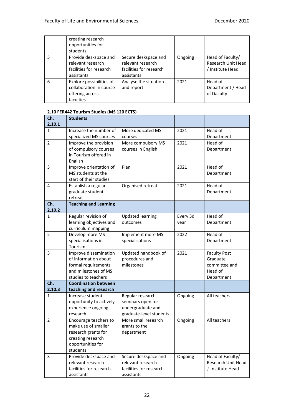|   | creating research<br>opportunities for<br>students                                  |                                                                                    |         |                                                            |
|---|-------------------------------------------------------------------------------------|------------------------------------------------------------------------------------|---------|------------------------------------------------------------|
| 5 | Provide deskspace and<br>relevant research<br>facilities for research<br>assistants | Secure deskspace and<br>relevant research<br>facilities for research<br>assistants | Ongoing | Head of Faculty/<br>Research Unit Head<br>/ Institute Head |
| 6 | Explore possibilities of<br>collaboration in course<br>offering across<br>faculties | Analyse the situation<br>and report                                                | 2021    | Head of<br>Department / Head<br>of Daculty                 |

### **2.10 FER442 Tourism Studies (MS 120 ECTS)**

| Ch.<br>2.10.1  | <b>Students</b>                                                                                                           |                                                                                       |                  |                                                                           |
|----------------|---------------------------------------------------------------------------------------------------------------------------|---------------------------------------------------------------------------------------|------------------|---------------------------------------------------------------------------|
| 1              | Increase the number of<br>specialized MS courses                                                                          | More dedicated MS<br>courses                                                          | 2021             | Head of<br>Department                                                     |
| $\overline{2}$ | Improve the provision<br>of compulsory courses<br>in Tourism offered in<br>English                                        | More compulsory MS<br>courses in English                                              | 2021             | Head of<br>Department                                                     |
| 3              | Improve orientation of<br>MS students at the<br>start of their studies                                                    | Plan                                                                                  | 2021             | Head of<br>Department                                                     |
| 4              | Establish a regular<br>graduate student<br>retreat                                                                        | Organised retreat                                                                     | 2021             | Head of<br>Department                                                     |
| Ch.<br>2.10.2  | <b>Teaching and Learning</b>                                                                                              |                                                                                       |                  |                                                                           |
| 1              | Regular revision of<br>learning objectives and<br>curriculum mapping                                                      | <b>Updated learning</b><br>outcomes                                                   | Every 3d<br>year | Head of<br>Department                                                     |
| $\overline{2}$ | Develop more MS<br>specialisations in<br>Tourism                                                                          | Implement more MS<br>specialisations                                                  | 2022             | Head of<br>Department                                                     |
| 3              | Improve dissemination<br>of information about<br>formal requirements<br>and milestones of MS<br>studies to teachers       | Updated handbook of<br>procedures and<br>milestones                                   | 2021             | <b>Faculty Post</b><br>Graduate<br>committee and<br>Head of<br>Department |
| Ch.<br>2.10.3  | <b>Coordination between</b><br>teaching and research                                                                      |                                                                                       |                  |                                                                           |
| 1              | Increase student<br>opportunity to actively<br>experience ongoing<br>research                                             | Regular research<br>seminars open for<br>undergraduate and<br>graduate-level students | Ongoing          | All teachers                                                              |
| 2              | Encourage teachers to<br>make use of smaller<br>research grants for<br>creating research<br>opportunities for<br>students | More small research<br>grants to the<br>department                                    | Ongoing          | All teachers                                                              |
| 3              | Provide deskspace and<br>relevant research<br>facilities for research<br>assistants                                       | Secure deskspace and<br>relevant research<br>facilities for research<br>assistants    | Ongoing          | Head of Faculty/<br>Research Unit Head<br>/ Institute Head                |